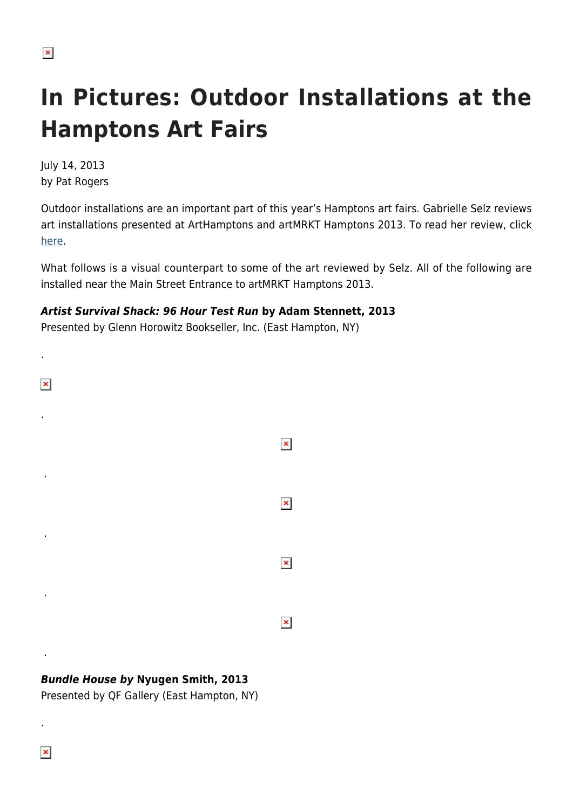.

## **In Pictures: Outdoor Installations at the Hamptons Art Fairs**

July 14, 2013 by Pat Rogers

Outdoor installations are an important part of this year's Hamptons art fairs. Gabrielle Selz reviews art installations presented at ArtHamptons and artMRKT Hamptons 2013. To read her review, click [here.](https://hamptonsarthub.com/2013/07/13/art-review-outdoor-installations-at-the-hamptons-art-fairs/)

What follows is a visual counterpart to some of the art reviewed by Selz. All of the following are installed near the Main Street Entrance to artMRKT Hamptons 2013.

## *Artist Survival Shack: 96 Hour Test Run* **by Adam Stennett, 2013**

Presented by Glenn Horowitz Bookseller, Inc. (East Hampton, NY)



## *Bundle House by* **Nyugen Smith, 2013**

Presented by QF Gallery (East Hampton, NY)

 $\pmb{\times}$ 

.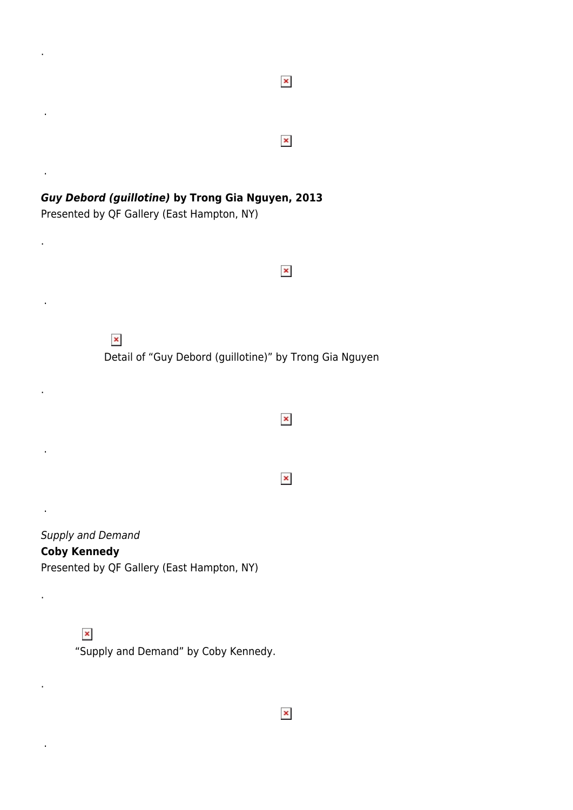$\pmb{\times}$  . *Guy Debord (guillotine)* **by Trong Gia Nguyen, 2013** Presented by QF Gallery (East Hampton, NY) .  $\pmb{\times}$  .  $\pmb{\times}$ Detail of "Guy Debord (guillotine)" by Trong Gia Nguyen .  $\pmb{\times}$  .  $\pmb{\times}$  . Supply and Demand **Coby Kennedy** Presented by QF Gallery (East Hampton, NY)

 $\pmb{\times}$ 

.

.

.

.

.

"Supply and Demand" by Coby Kennedy.

 $\pmb{\times}$